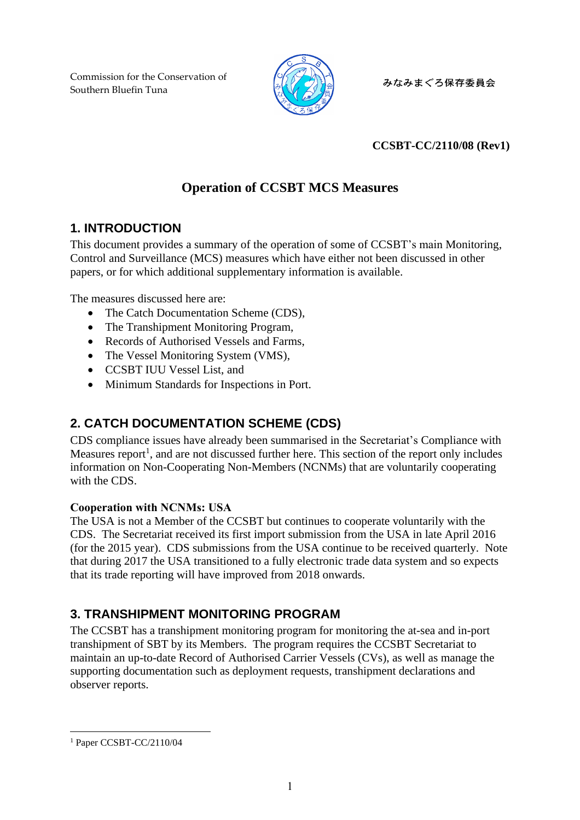Commission for the Conservation of Southern Bluefin Tuna



みなみまぐろ保存委員会

## **CCSBT-CC/2110/08 (Rev1)**

# **Operation of CCSBT MCS Measures**

## **1. INTRODUCTION**

This document provides a summary of the operation of some of CCSBT's main Monitoring, Control and Surveillance (MCS) measures which have either not been discussed in other papers, or for which additional supplementary information is available.

The measures discussed here are:

- The Catch Documentation Scheme (CDS),
- The Transhipment Monitoring Program,
- Records of Authorised Vessels and Farms,
- The Vessel Monitoring System (VMS),
- CCSBT IUU Vessel List, and
- Minimum Standards for Inspections in Port.

# **2. CATCH DOCUMENTATION SCHEME (CDS)**

CDS compliance issues have already been summarised in the Secretariat's Compliance with Measures report<sup>1</sup>, and are not discussed further here. This section of the report only includes information on Non-Cooperating Non-Members (NCNMs) that are voluntarily cooperating with the CDS.

### **Cooperation with NCNMs: USA**

The USA is not a Member of the CCSBT but continues to cooperate voluntarily with the CDS. The Secretariat received its first import submission from the USA in late April 2016 (for the 2015 year). CDS submissions from the USA continue to be received quarterly. Note that during 2017 the USA transitioned to a fully electronic trade data system and so expects that its trade reporting will have improved from 2018 onwards.

## **3. TRANSHIPMENT MONITORING PROGRAM**

The CCSBT has a transhipment monitoring program for monitoring the at-sea and in-port transhipment of SBT by its Members. The program requires the CCSBT Secretariat to maintain an up-to-date Record of Authorised Carrier Vessels (CVs), as well as manage the supporting documentation such as deployment requests, transhipment declarations and observer reports.

<sup>&</sup>lt;sup>1</sup> Paper CCSBT-CC/2110/04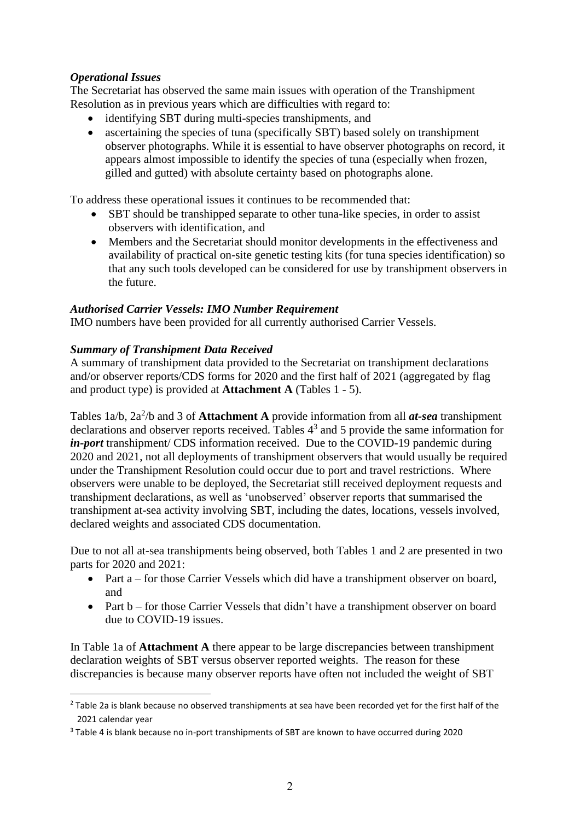### *Operational Issues*

The Secretariat has observed the same main issues with operation of the Transhipment Resolution as in previous years which are difficulties with regard to:

- identifying SBT during multi-species transhipments, and
- ascertaining the species of tuna (specifically SBT) based solely on transhipment observer photographs. While it is essential to have observer photographs on record, it appears almost impossible to identify the species of tuna (especially when frozen, gilled and gutted) with absolute certainty based on photographs alone.

To address these operational issues it continues to be recommended that:

- SBT should be transhipped separate to other tuna-like species, in order to assist observers with identification, and
- Members and the Secretariat should monitor developments in the effectiveness and availability of practical on-site genetic testing kits (for tuna species identification) so that any such tools developed can be considered for use by transhipment observers in the future.

### *Authorised Carrier Vessels: IMO Number Requirement*

IMO numbers have been provided for all currently authorised Carrier Vessels.

#### *Summary of Transhipment Data Received*

A summary of transhipment data provided to the Secretariat on transhipment declarations and/or observer reports/CDS forms for 2020 and the first half of 2021 (aggregated by flag and product type) is provided at **Attachment A** (Tables 1 - 5).

Tables 1a/b, 2a 2 /b and 3 of **Attachment A** provide information from all *at-sea* transhipment declarations and observer reports received. Tables  $4<sup>3</sup>$  and 5 provide the same information for *in-port* transhipment/ CDS information received. Due to the COVID-19 pandemic during 2020 and 2021, not all deployments of transhipment observers that would usually be required under the Transhipment Resolution could occur due to port and travel restrictions. Where observers were unable to be deployed, the Secretariat still received deployment requests and transhipment declarations, as well as 'unobserved' observer reports that summarised the transhipment at-sea activity involving SBT, including the dates, locations, vessels involved, declared weights and associated CDS documentation.

Due to not all at-sea transhipments being observed, both Tables 1 and 2 are presented in two parts for 2020 and 2021:

- Part a for those Carrier Vessels which did have a transhipment observer on board, and
- Part b for those Carrier Vessels that didn't have a transhipment observer on board due to COVID-19 issues.

In Table 1a of **Attachment A** there appear to be large discrepancies between transhipment declaration weights of SBT versus observer reported weights. The reason for these discrepancies is because many observer reports have often not included the weight of SBT

<sup>&</sup>lt;sup>2</sup> Table 2a is blank because no observed transhipments at sea have been recorded yet for the first half of the 2021 calendar year

<sup>3</sup> Table 4 is blank because no in-port transhipments of SBT are known to have occurred during 2020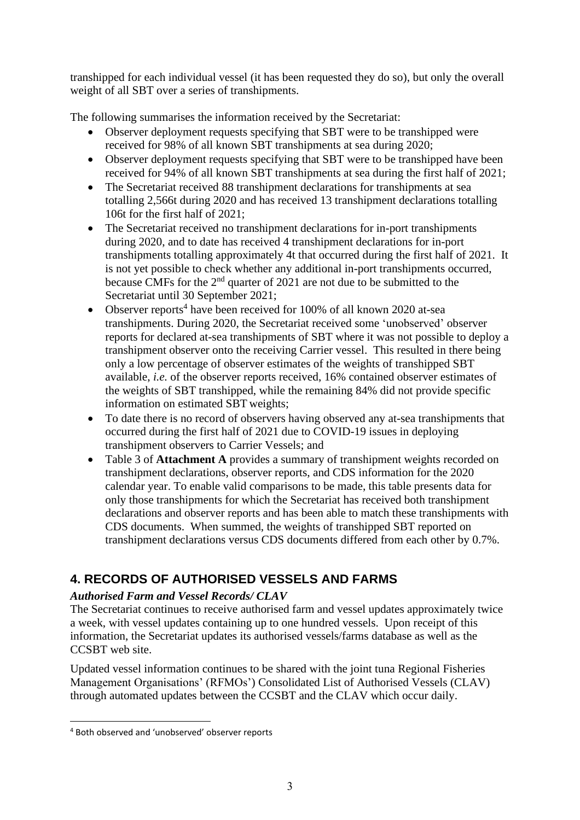transhipped for each individual vessel (it has been requested they do so), but only the overall weight of all SBT over a series of transhipments.

The following summarises the information received by the Secretariat:

- Observer deployment requests specifying that SBT were to be transhipped were received for 98% of all known SBT transhipments at sea during 2020;
- Observer deployment requests specifying that SBT were to be transhipped have been received for 94% of all known SBT transhipments at sea during the first half of 2021;
- The Secretariat received 88 transhipment declarations for transhipments at sea totalling 2,566t during 2020 and has received 13 transhipment declarations totalling 106t for the first half of 2021;
- The Secretariat received no transhipment declarations for in-port transhipments during 2020, and to date has received 4 transhipment declarations for in-port transhipments totalling approximately 4t that occurred during the first half of 2021. It is not yet possible to check whether any additional in-port transhipments occurred, because CMFs for the 2nd quarter of 2021 are not due to be submitted to the Secretariat until 30 September 2021;
- Observer reports<sup>4</sup> have been received for 100% of all known 2020 at-sea transhipments. During 2020, the Secretariat received some 'unobserved' observer reports for declared at-sea transhipments of SBT where it was not possible to deploy a transhipment observer onto the receiving Carrier vessel. This resulted in there being only a low percentage of observer estimates of the weights of transhipped SBT available, *i.e.* of the observer reports received, 16% contained observer estimates of the weights of SBT transhipped, while the remaining 84% did not provide specific information on estimated SBT weights;
- To date there is no record of observers having observed any at-sea transhipments that occurred during the first half of 2021 due to COVID-19 issues in deploying transhipment observers to Carrier Vessels; and
- Table 3 of **Attachment A** provides a summary of transhipment weights recorded on transhipment declarations, observer reports, and CDS information for the 2020 calendar year. To enable valid comparisons to be made, this table presents data for only those transhipments for which the Secretariat has received both transhipment declarations and observer reports and has been able to match these transhipments with CDS documents. When summed, the weights of transhipped SBT reported on transhipment declarations versus CDS documents differed from each other by 0.7%.

# **4. RECORDS OF AUTHORISED VESSELS AND FARMS**

## *Authorised Farm and Vessel Records/ CLAV*

The Secretariat continues to receive authorised farm and vessel updates approximately twice a week, with vessel updates containing up to one hundred vessels. Upon receipt of this information, the Secretariat updates its authorised vessels/farms database as well as the CCSBT web site.

Updated vessel information continues to be shared with the joint tuna Regional Fisheries Management Organisations' (RFMOs') Consolidated List of Authorised Vessels (CLAV) through automated updates between the CCSBT and the CLAV which occur daily.

<sup>4</sup> Both observed and 'unobserved' observer reports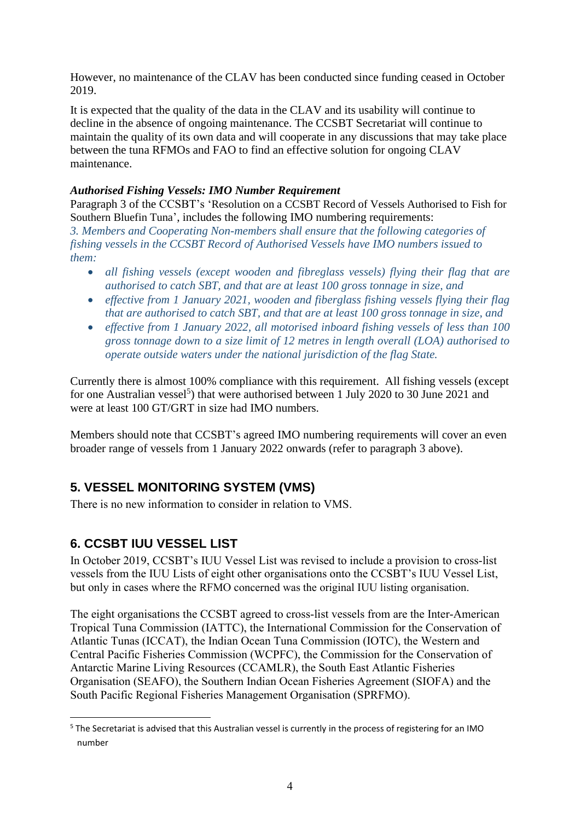However, no maintenance of the CLAV has been conducted since funding ceased in October 2019.

It is expected that the quality of the data in the CLAV and its usability will continue to decline in the absence of ongoing maintenance. The CCSBT Secretariat will continue to maintain the quality of its own data and will cooperate in any discussions that may take place between the tuna RFMOs and FAO to find an effective solution for ongoing CLAV maintenance.

### *Authorised Fishing Vessels: IMO Number Requirement*

Paragraph 3 of the CCSBT's 'Resolution on a CCSBT Record of Vessels Authorised to Fish for Southern Bluefin Tuna', includes the following IMO numbering requirements: *3. Members and Cooperating Non-members shall ensure that the following categories of fishing vessels in the CCSBT Record of Authorised Vessels have IMO numbers issued to them:* 

- *all fishing vessels (except wooden and fibreglass vessels) flying their flag that are authorised to catch SBT, and that are at least 100 gross tonnage in size, and*
- *effective from 1 January 2021, wooden and fiberglass fishing vessels flying their flag that are authorised to catch SBT, and that are at least 100 gross tonnage in size, and*
- *effective from 1 January 2022, all motorised inboard fishing vessels of less than 100 gross tonnage down to a size limit of 12 metres in length overall (LOA) authorised to operate outside waters under the national jurisdiction of the flag State.*

Currently there is almost 100% compliance with this requirement. All fishing vessels (except for one Australian vessel<sup>5</sup>) that were authorised between 1 July 2020 to 30 June 2021 and were at least 100 GT/GRT in size had IMO numbers.

Members should note that CCSBT's agreed IMO numbering requirements will cover an even broader range of vessels from 1 January 2022 onwards (refer to paragraph 3 above).

# **5. VESSEL MONITORING SYSTEM (VMS)**

There is no new information to consider in relation to VMS.

## **6. CCSBT IUU VESSEL LIST**

In October 2019, CCSBT's IUU Vessel List was revised to include a provision to cross-list vessels from the IUU Lists of eight other organisations onto the CCSBT's IUU Vessel List, but only in cases where the RFMO concerned was the original IUU listing organisation.

The eight organisations the CCSBT agreed to cross-list vessels from are the Inter-American Tropical Tuna Commission (IATTC), the International Commission for the Conservation of Atlantic Tunas (ICCAT), the Indian Ocean Tuna Commission (IOTC), the Western and Central Pacific Fisheries Commission (WCPFC), the Commission for the Conservation of Antarctic Marine Living Resources (CCAMLR), the South East Atlantic Fisheries Organisation (SEAFO), the Southern Indian Ocean Fisheries Agreement (SIOFA) and the South Pacific Regional Fisheries Management Organisation (SPRFMO).

<sup>5</sup> The Secretariat is advised that this Australian vessel is currently in the process of registering for an IMO number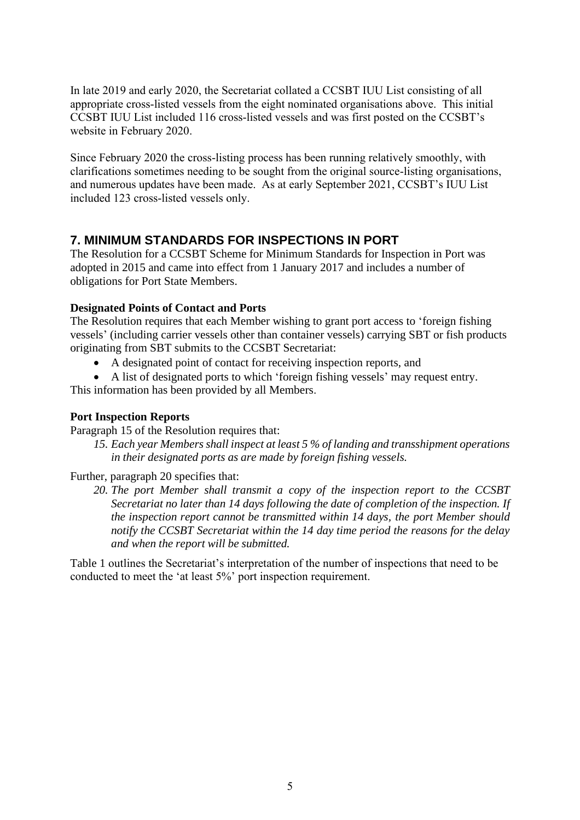In late 2019 and early 2020, the Secretariat collated a CCSBT IUU List consisting of all appropriate cross-listed vessels from the eight nominated organisations above. This initial CCSBT IUU List included 116 cross-listed vessels and was first posted on the CCSBT's website in February 2020.

Since February 2020 the cross-listing process has been running relatively smoothly, with clarifications sometimes needing to be sought from the original source-listing organisations, and numerous updates have been made. As at early September 2021, CCSBT's IUU List included 123 cross-listed vessels only.

## **7. MINIMUM STANDARDS FOR INSPECTIONS IN PORT**

The Resolution for a CCSBT Scheme for Minimum Standards for Inspection in Port was adopted in 2015 and came into effect from 1 January 2017 and includes a number of obligations for Port State Members.

### **Designated Points of Contact and Ports**

The Resolution requires that each Member wishing to grant port access to 'foreign fishing vessels' (including carrier vessels other than container vessels) carrying SBT or fish products originating from SBT submits to the CCSBT Secretariat:

- A designated point of contact for receiving inspection reports, and
- A list of designated ports to which 'foreign fishing vessels' may request entry.

This information has been provided by all Members.

### **Port Inspection Reports**

Paragraph 15 of the Resolution requires that:

*15. Each year Membersshall inspect at least 5 % of landing and transshipment operations in their designated ports as are made by foreign fishing vessels.*

Further, paragraph 20 specifies that:

*20. The port Member shall transmit a copy of the inspection report to the CCSBT Secretariat no later than 14 days following the date of completion of the inspection. If the inspection report cannot be transmitted within 14 days, the port Member should notify the CCSBT Secretariat within the 14 day time period the reasons for the delay and when the report will be submitted.*

Table 1 outlines the Secretariat's interpretation of the number of inspections that need to be conducted to meet the 'at least 5%' port inspection requirement.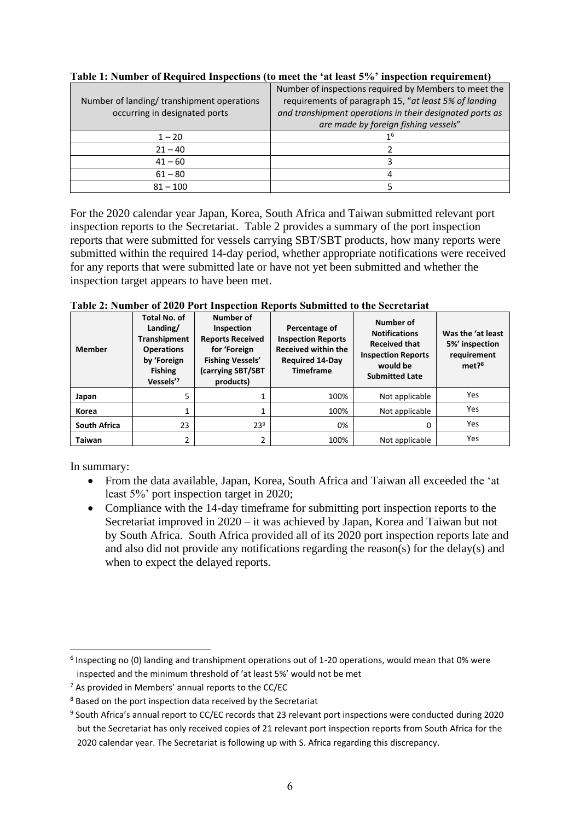| Number of landing/transhipment operations<br>occurring in designated ports | Number of inspections required by Members to meet the<br>requirements of paragraph 15, "at least 5% of landing<br>and transhipment operations in their designated ports as<br>are made by foreign fishing vessels" |  |  |
|----------------------------------------------------------------------------|--------------------------------------------------------------------------------------------------------------------------------------------------------------------------------------------------------------------|--|--|
| $1 - 20$                                                                   | 16                                                                                                                                                                                                                 |  |  |
| $21 - 40$                                                                  |                                                                                                                                                                                                                    |  |  |
| $41 - 60$                                                                  |                                                                                                                                                                                                                    |  |  |
| $61 - 80$                                                                  | 4                                                                                                                                                                                                                  |  |  |
| $81 - 100$                                                                 |                                                                                                                                                                                                                    |  |  |

**Table 1: Number of Required Inspections (to meet the 'at least 5%' inspection requirement)**

For the 2020 calendar year Japan, Korea, South Africa and Taiwan submitted relevant port inspection reports to the Secretariat. Table 2 provides a summary of the port inspection reports that were submitted for vessels carrying SBT/SBT products, how many reports were submitted within the required 14-day period, whether appropriate notifications were received for any reports that were submitted late or have not yet been submitted and whether the inspection target appears to have been met.

| Table 2: Number of 2020 Port Inspection Reports Submitted to the Secretariat |
|------------------------------------------------------------------------------|
|------------------------------------------------------------------------------|

| <b>Member</b>       | <b>Total No. of</b><br>Landing/<br>Transhipment<br><b>Operations</b><br>by 'Foreign<br><b>Fishing</b><br>Vessels'7 | Number of<br><b>Inspection</b><br><b>Reports Received</b><br>for 'Foreign<br><b>Fishing Vessels'</b><br>(carrying SBT/SBT<br>products) | Percentage of<br><b>Inspection Reports</b><br><b>Received within the</b><br><b>Required 14-Day</b><br><b>Timeframe</b> | Number of<br><b>Notifications</b><br><b>Received that</b><br><b>Inspection Reports</b><br>would be<br><b>Submitted Late</b> | Was the 'at least<br>5%' inspection<br>requirement<br>met? <sup>8</sup> |
|---------------------|--------------------------------------------------------------------------------------------------------------------|----------------------------------------------------------------------------------------------------------------------------------------|------------------------------------------------------------------------------------------------------------------------|-----------------------------------------------------------------------------------------------------------------------------|-------------------------------------------------------------------------|
| Japan               | 5                                                                                                                  |                                                                                                                                        | 100%                                                                                                                   | Not applicable                                                                                                              | Yes                                                                     |
| Korea               |                                                                                                                    | 1                                                                                                                                      | 100%                                                                                                                   | Not applicable                                                                                                              | Yes                                                                     |
| <b>South Africa</b> | 23                                                                                                                 | 23 <sup>9</sup>                                                                                                                        | 0%                                                                                                                     | 0                                                                                                                           | Yes                                                                     |
| <b>Taiwan</b>       | $\overline{2}$                                                                                                     | 2                                                                                                                                      | 100%                                                                                                                   | Not applicable                                                                                                              | Yes                                                                     |

In summary:

- From the data available, Japan, Korea, South Africa and Taiwan all exceeded the 'at least 5%' port inspection target in 2020;
- Compliance with the 14-day time frame for submitting port inspection reports to the Secretariat improved in 2020 – it was achieved by Japan, Korea and Taiwan but not by South Africa. South Africa provided all of its 2020 port inspection reports late and and also did not provide any notifications regarding the reason(s) for the delay(s) and when to expect the delayed reports.

 $<sup>6</sup>$  Inspecting no (0) landing and transhipment operations out of 1-20 operations, would mean that 0% were</sup> inspected and the minimum threshold of 'at least 5%' would not be met

 $<sup>7</sup>$  As provided in Members' annual reports to the CC/EC</sup>

<sup>8</sup> Based on the port inspection data received by the Secretariat

<sup>9</sup> South Africa's annual report to CC/EC records that 23 relevant port inspections were conducted during 2020 but the Secretariat has only received copies of 21 relevant port inspection reports from South Africa for the 2020 calendar year. The Secretariat is following up with S. Africa regarding this discrepancy.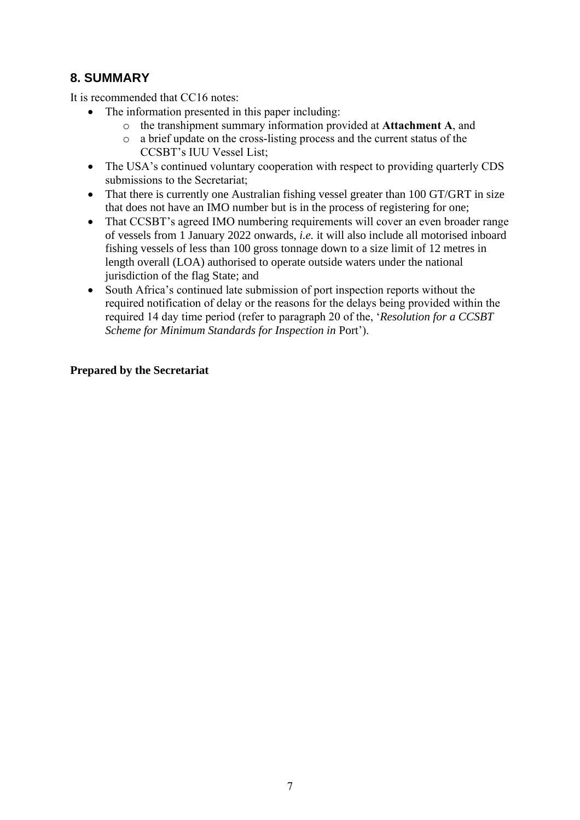# **8. SUMMARY**

It is recommended that CC16 notes:

- The information presented in this paper including:
	- o the transhipment summary information provided at **Attachment A**, and
	- o a brief update on the cross-listing process and the current status of the CCSBT's IUU Vessel List;
- The USA's continued voluntary cooperation with respect to providing quarterly CDS submissions to the Secretariat;
- That there is currently one Australian fishing vessel greater than 100 GT/GRT in size that does not have an IMO number but is in the process of registering for one;
- That CCSBT's agreed IMO numbering requirements will cover an even broader range of vessels from 1 January 2022 onwards, *i.e.* it will also include all motorised inboard fishing vessels of less than 100 gross tonnage down to a size limit of 12 metres in length overall (LOA) authorised to operate outside waters under the national jurisdiction of the flag State; and
- South Africa's continued late submission of port inspection reports without the required notification of delay or the reasons for the delays being provided within the required 14 day time period (refer to paragraph 20 of the, '*Resolution for a CCSBT Scheme for Minimum Standards for Inspection in* Port').

### **Prepared by the Secretariat**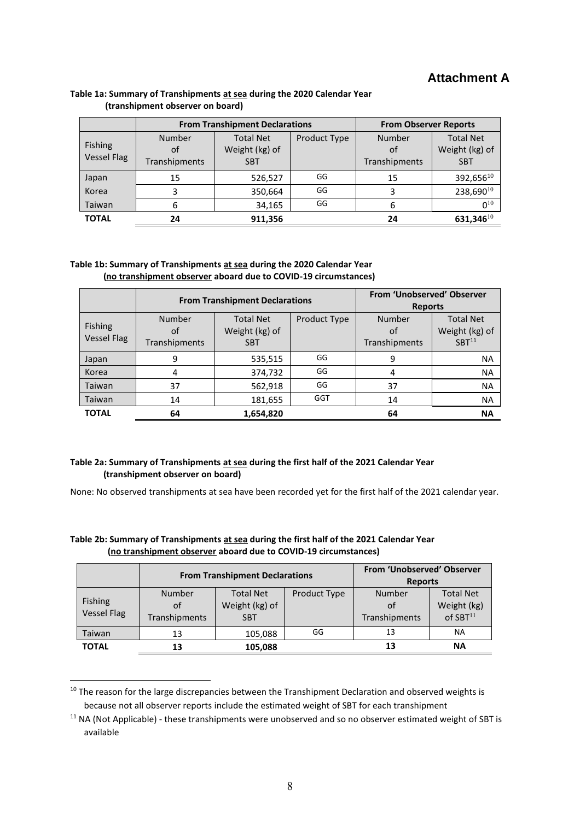## <span id="page-7-1"></span><span id="page-7-0"></span>**Attachment A**

|                               |                               | <b>From Transhipment Declarations</b>            | <b>From Observer Reports</b> |                                      |                                                  |
|-------------------------------|-------------------------------|--------------------------------------------------|------------------------------|--------------------------------------|--------------------------------------------------|
| Fishing<br><b>Vessel Flag</b> | Number<br>of<br>Transhipments | <b>Total Net</b><br>Weight (kg) of<br><b>SBT</b> | Product Type                 | <b>Number</b><br>of<br>Transhipments | <b>Total Net</b><br>Weight (kg) of<br><b>SBT</b> |
| Japan                         | 15                            | 526,527                                          | GG                           | 15                                   | 392,65610                                        |
| Korea                         |                               | 350,664                                          | GG                           | 3                                    | 238,69010                                        |
| Taiwan                        | 6                             | 34,165                                           | GG                           | 6                                    | $\mathbf{0}^{10}$                                |
| <b>TOTAL</b>                  | 24                            | 911,356                                          |                              | 24                                   | 631,346 $^{10}$                                  |

#### **Table 1a: Summary of Transhipments at sea during the 2020 Calendar Year (transhipment observer on board)**

#### **Table 1b: Summary of Transhipments at sea during the 2020 Calendar Year (no transhipment observer aboard due to COVID-19 circumstances)**

|                                      |                               | <b>From Transhipment Declarations</b>            | From 'Unobserved' Observer<br><b>Reports</b> |                                      |                                                         |
|--------------------------------------|-------------------------------|--------------------------------------------------|----------------------------------------------|--------------------------------------|---------------------------------------------------------|
| <b>Fishing</b><br><b>Vessel Flag</b> | Number<br>of<br>Transhipments | <b>Total Net</b><br>Weight (kg) of<br><b>SBT</b> | Product Type                                 | <b>Number</b><br>of<br>Transhipments | <b>Total Net</b><br>Weight (kg) of<br>SBT <sup>11</sup> |
| Japan                                | 9                             | GG<br>535,515                                    |                                              | 9                                    | <b>NA</b>                                               |
| Korea                                | 4                             | 374,732                                          | GG                                           | 4                                    | <b>NA</b>                                               |
| Taiwan                               | 37                            | 562,918                                          | GG                                           | 37                                   | <b>NA</b>                                               |
| Taiwan                               | 14                            | <b>GGT</b><br>181,655                            |                                              | 14                                   | <b>NA</b>                                               |
| <b>TOTAL</b>                         | 64                            | 1,654,820                                        |                                              | 64                                   | <b>NA</b>                                               |

#### **Table 2a: Summary of Transhipments at sea during the first half of the 2021 Calendar Year (transhipment observer on board)**

None: No observed transhipments at sea have been recorded yet for the first half of the 2021 calendar year.

|                               |                               | <b>From Transhipment Declarations</b>            | From 'Unobserved' Observer<br><b>Reports</b> |                               |                                                  |
|-------------------------------|-------------------------------|--------------------------------------------------|----------------------------------------------|-------------------------------|--------------------------------------------------|
| Fishing<br><b>Vessel Flag</b> | Number<br>of<br>Transhipments | <b>Total Net</b><br>Weight (kg) of<br><b>SBT</b> | Product Type                                 | Number<br>of<br>Transhipments | <b>Total Net</b><br>Weight (kg)<br>of $SBT^{11}$ |
| Taiwan                        | 13                            | 105,088                                          | GG                                           | 13                            | <b>NA</b>                                        |
| <b>TOTAL</b>                  | 13                            | 105,088                                          |                                              | 13                            | <b>NA</b>                                        |

#### **Table 2b: Summary of Transhipments at sea during the first half of the 2021 Calendar Year (no transhipment observer aboard due to COVID-19 circumstances)**

<sup>&</sup>lt;sup>10</sup> The reason for the large discrepancies between the Transhipment Declaration and observed weights is because not all observer reports include the estimated weight of SBT for each transhipment

<sup>&</sup>lt;sup>11</sup> NA (Not Applicable) - these transhipments were unobserved and so no observer estimated weight of SBT is available